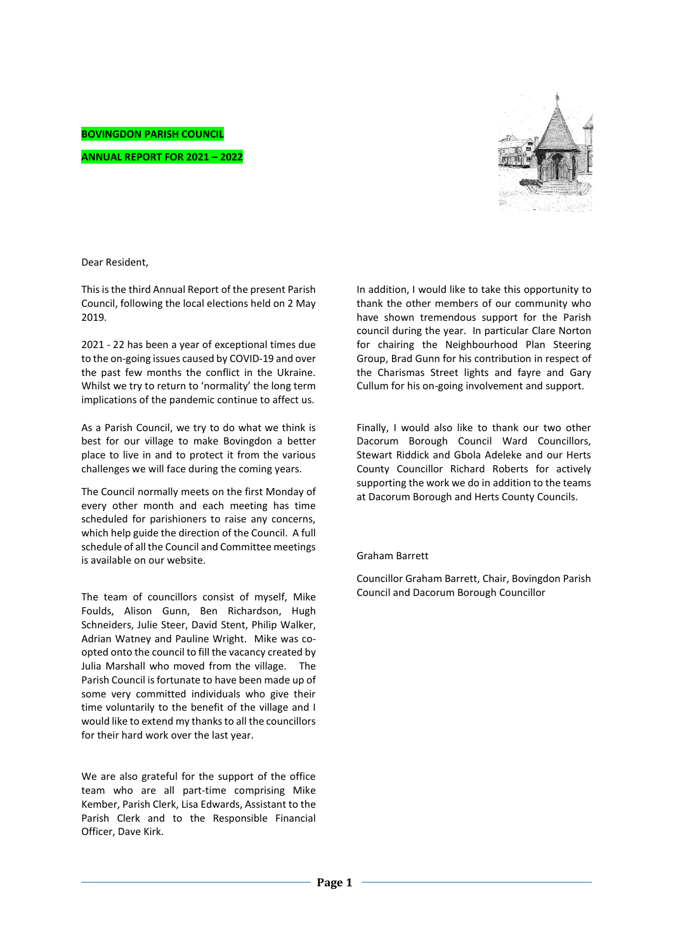# **BOVINGDON PARISH COUNCIL ANNUAL REPORT FOR 2021 – 2022**



Dear Resident,

This is the third Annual Report of the present Parish Council, following the local elections held on 2 May 2019.

2021 - 22 has been a year of exceptional times due to the on-going issues caused by COVID-19 and over the past few months the conflict in the Ukraine. Whilst we try to return to 'normality' the long term implications of the pandemic continue to affect us.

As a Parish Council, we try to do what we think is best for our village to make Bovingdon a better place to live in and to protect it from the various challenges we will face during the coming years.

The Council normally meets on the first Monday of every other month and each meeting has time scheduled for parishioners to raise any concerns, which help guide the direction of the Council. A full schedule of all the Council and Committee meetings is available on our website.

The team of councillors consist of myself, Mike Foulds, Alison Gunn, Ben Richardson, Hugh Schneiders, Julie Steer, David Stent, Philip Walker, Adrian Watney and Pauline Wright. Mike was coopted onto the council to fill the vacancy created by Julia Marshall who moved from the village. The Parish Council is fortunate to have been made up of some very committed individuals who give their time voluntarily to the benefit of the village and I would like to extend my thanks to all the councillors for their hard work over the last year.

We are also grateful for the support of the office team who are all part-time comprising Mike Kember, Parish Clerk, Lisa Edwards, Assistant to the Parish Clerk and to the Responsible Financial Officer, Dave Kirk.

In addition, I would like to take this opportunity to thank the other members of our community who have shown tremendous support for the Parish council during the year. In particular Clare Norton for chairing the Neighbourhood Plan Steering Group, Brad Gunn for his contribution in respect of the Charismas Street lights and fayre and Gary Cullum for his on-going involvement and support.

Finally, I would also like to thank our two other Dacorum Borough Council Ward Councillors, Stewart Riddick and Gbola Adeleke and our Herts County Councillor Richard Roberts for actively supporting the work we do in addition to the teams at Dacorum Borough and Herts County Councils.

# Graham Barrett

Councillor Graham Barrett, Chair, Bovingdon Parish Council and Dacorum Borough Councillor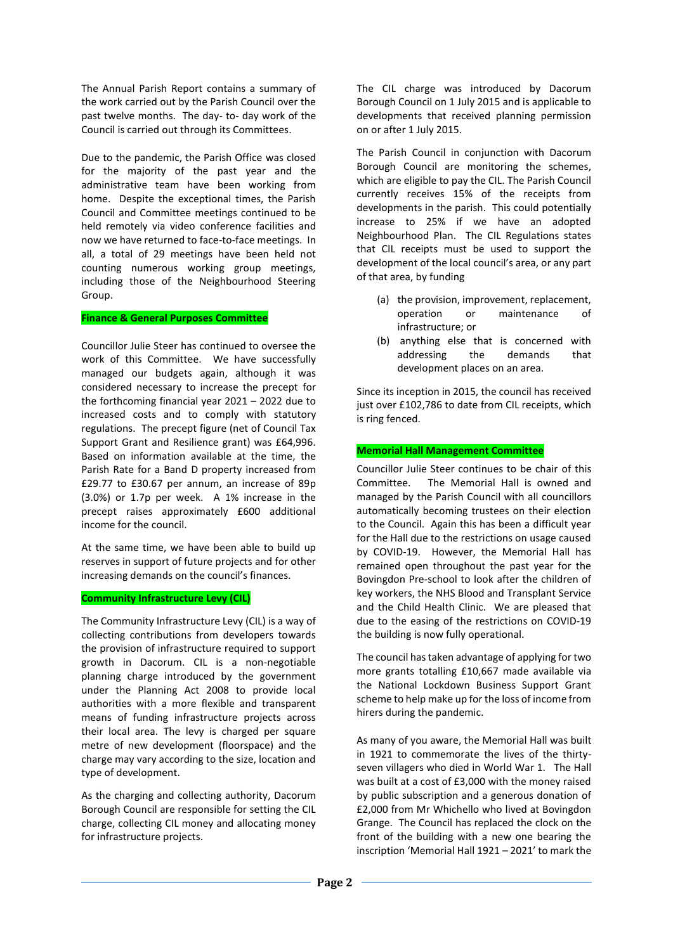The Annual Parish Report contains a summary of the work carried out by the Parish Council over the past twelve months. The day- to- day work of the Council is carried out through its Committees.

Due to the pandemic, the Parish Office was closed for the majority of the past year and the administrative team have been working from home. Despite the exceptional times, the Parish Council and Committee meetings continued to be held remotely via video conference facilities and now we have returned to face-to-face meetings. In all, a total of 29 meetings have been held not counting numerous working group meetings, including those of the Neighbourhood Steering Group.

#### **Finance & General Purposes Committee**

Councillor Julie Steer has continued to oversee the work of this Committee. We have successfully managed our budgets again, although it was considered necessary to increase the precept for the forthcoming financial year 2021 – 2022 due to increased costs and to comply with statutory regulations. The precept figure (net of Council Tax Support Grant and Resilience grant) was £64,996. Based on information available at the time, the Parish Rate for a Band D property increased from £29.77 to £30.67 per annum, an increase of 89p (3.0%) or 1.7p per week. A 1% increase in the precept raises approximately £600 additional income for the council.

At the same time, we have been able to build up reserves in support of future projects and for other increasing demands on the council's finances.

## **Community Infrastructure Levy (CIL)**

The Community Infrastructure Levy (CIL) is a way of collecting contributions from developers towards the provision of infrastructure required to support growth in Dacorum. CIL is a non-negotiable planning charge introduced by the government under the Planning Act 2008 to provide local authorities with a more flexible and transparent means of funding infrastructure projects across their local area. The levy is charged per square metre of new development (floorspace) and the charge may vary according to the size, location and type of development.

As the charging and collecting authority, Dacorum Borough Council are responsible for setting the CIL charge, collecting CIL money and allocating money for infrastructure projects.

The CIL charge was introduced by Dacorum Borough Council on 1 July 2015 and is applicable to developments that received planning permission on or after 1 July 2015.

The Parish Council in conjunction with Dacorum Borough Council are monitoring the schemes, which are eligible to pay the CIL. The Parish Council currently receives 15% of the receipts from developments in the parish. This could potentially increase to 25% if we have an adopted Neighbourhood Plan. The CIL Regulations states that CIL receipts must be used to support the development of the local council's area, or any part of that area, by funding

- (a) the provision, improvement, replacement, operation or maintenance of infrastructure; or
- (b) anything else that is concerned with addressing the demands that development places on an area.

Since its inception in 2015, the council has received just over £102,786 to date from CIL receipts, which is ring fenced.

## **Memorial Hall Management Committee**

Councillor Julie Steer continues to be chair of this Committee. The Memorial Hall is owned and managed by the Parish Council with all councillors automatically becoming trustees on their election to the Council. Again this has been a difficult year for the Hall due to the restrictions on usage caused by COVID-19. However, the Memorial Hall has remained open throughout the past year for the Bovingdon Pre-school to look after the children of key workers, the NHS Blood and Transplant Service and the Child Health Clinic. We are pleased that due to the easing of the restrictions on COVID-19 the building is now fully operational.

The council has taken advantage of applying for two more grants totalling £10,667 made available via the National Lockdown Business Support Grant scheme to help make up for the loss of income from hirers during the pandemic.

As many of you aware, the Memorial Hall was built in 1921 to commemorate the lives of the thirtyseven villagers who died in World War 1. The Hall was built at a cost of £3,000 with the money raised by public subscription and a generous donation of £2,000 from Mr Whichello who lived at Bovingdon Grange. The Council has replaced the clock on the front of the building with a new one bearing the inscription 'Memorial Hall 1921 – 2021' to mark the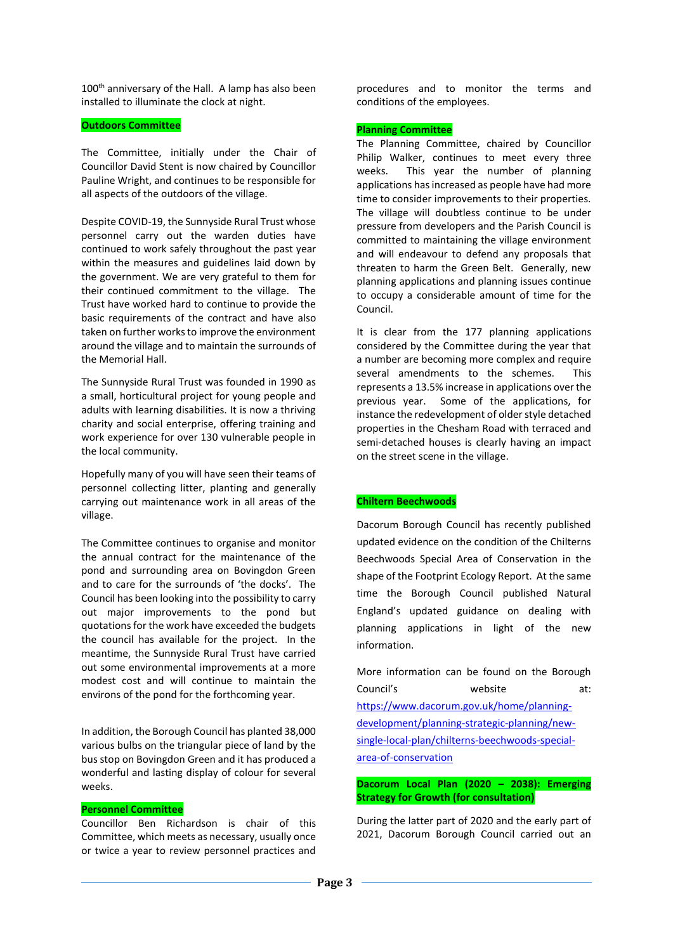100<sup>th</sup> anniversary of the Hall. A lamp has also been installed to illuminate the clock at night.

#### **Outdoors Committee**

The Committee, initially under the Chair of Councillor David Stent is now chaired by Councillor Pauline Wright, and continues to be responsible for all aspects of the outdoors of the village.

Despite COVID-19, the Sunnyside Rural Trust whose personnel carry out the warden duties have continued to work safely throughout the past year within the measures and guidelines laid down by the government. We are very grateful to them for their continued commitment to the village. The Trust have worked hard to continue to provide the basic requirements of the contract and have also taken on further works to improve the environment around the village and to maintain the surrounds of the Memorial Hall.

The Sunnyside Rural Trust was founded in 1990 as a small, horticultural project for young people and adults with learning disabilities. It is now a thriving charity and social enterprise, offering training and work experience for over 130 vulnerable people in the local community.

Hopefully many of you will have seen their teams of personnel collecting litter, planting and generally carrying out maintenance work in all areas of the village.

The Committee continues to organise and monitor the annual contract for the maintenance of the pond and surrounding area on Bovingdon Green and to care for the surrounds of 'the docks'. The Council has been looking into the possibility to carry out major improvements to the pond but quotations for the work have exceeded the budgets the council has available for the project. In the meantime, the Sunnyside Rural Trust have carried out some environmental improvements at a more modest cost and will continue to maintain the environs of the pond for the forthcoming year.

In addition, the Borough Council has planted 38,000 various bulbs on the triangular piece of land by the bus stop on Bovingdon Green and it has produced a wonderful and lasting display of colour for several weeks.

#### **Personnel Committee**

Councillor Ben Richardson is chair of this Committee, which meets as necessary, usually once or twice a year to review personnel practices and procedures and to monitor the terms and conditions of the employees.

# **Planning Committee**

The Planning Committee, chaired by Councillor Philip Walker, continues to meet every three weeks. This year the number of planning applications has increased as people have had more time to consider improvements to their properties. The village will doubtless continue to be under pressure from developers and the Parish Council is committed to maintaining the village environment and will endeavour to defend any proposals that threaten to harm the Green Belt. Generally, new planning applications and planning issues continue to occupy a considerable amount of time for the Council.

It is clear from the 177 planning applications considered by the Committee during the year that a number are becoming more complex and require several amendments to the schemes. This represents a 13.5% increase in applications over the previous year. Some of the applications, for instance the redevelopment of older style detached properties in the Chesham Road with terraced and semi-detached houses is clearly having an impact on the street scene in the village.

#### **Chiltern Beechwoods**

Dacorum Borough Council has recently published updated evidence on the condition of the Chilterns Beechwoods Special Area of Conservation in the shape of the Footprint Ecology Report. At the same time the Borough Council published Natural England's updated guidance on dealing with planning applications in light of the new information.

More information can be found on the Borough Council's website at: [https://www.dacorum.gov.uk/home/planning](https://url6.mailanyone.net/v1/?m=1nbJSB-000BiF-6M&i=57e1b682&c=my5cqQI3gAZcwSIP9QFTdovPtJl8BIYMKa_LTfKjIITFQdOHch6lnzKDDwY2q9B3llXthgXcfEkoU05PCDv7hYmNtnvtPk8RahZy2lQDwFBOm3ezPs8WlR3Jsmc1xql3ptzf6V-W8no3pao5sQgffEQICbeMz1w5wJUeyHmJn6ZXpP55XkQcxnd0NdlSzjUQwm4aJ0aI1cc1PgAYQQPrLBr-oUdWQ_YtaE1B50eSUaW8hKoiczDuSnIc-Q1v3dWrAn3tG4hxIQubcH3qZHF8L1wTHckDfqfyUoOfx9Q6esCrc4FmRSrgbwIAJv4AQlQLOLnEj3ZC9AD6BV2K6nYEGwyrzmyBofrYrcQmovfdw2tRJVWGOZrQvTDMDslTPCUE)[development/planning-strategic-planning/new](https://url6.mailanyone.net/v1/?m=1nbJSB-000BiF-6M&i=57e1b682&c=my5cqQI3gAZcwSIP9QFTdovPtJl8BIYMKa_LTfKjIITFQdOHch6lnzKDDwY2q9B3llXthgXcfEkoU05PCDv7hYmNtnvtPk8RahZy2lQDwFBOm3ezPs8WlR3Jsmc1xql3ptzf6V-W8no3pao5sQgffEQICbeMz1w5wJUeyHmJn6ZXpP55XkQcxnd0NdlSzjUQwm4aJ0aI1cc1PgAYQQPrLBr-oUdWQ_YtaE1B50eSUaW8hKoiczDuSnIc-Q1v3dWrAn3tG4hxIQubcH3qZHF8L1wTHckDfqfyUoOfx9Q6esCrc4FmRSrgbwIAJv4AQlQLOLnEj3ZC9AD6BV2K6nYEGwyrzmyBofrYrcQmovfdw2tRJVWGOZrQvTDMDslTPCUE)[single-local-plan/chilterns-beechwoods-special](https://url6.mailanyone.net/v1/?m=1nbJSB-000BiF-6M&i=57e1b682&c=my5cqQI3gAZcwSIP9QFTdovPtJl8BIYMKa_LTfKjIITFQdOHch6lnzKDDwY2q9B3llXthgXcfEkoU05PCDv7hYmNtnvtPk8RahZy2lQDwFBOm3ezPs8WlR3Jsmc1xql3ptzf6V-W8no3pao5sQgffEQICbeMz1w5wJUeyHmJn6ZXpP55XkQcxnd0NdlSzjUQwm4aJ0aI1cc1PgAYQQPrLBr-oUdWQ_YtaE1B50eSUaW8hKoiczDuSnIc-Q1v3dWrAn3tG4hxIQubcH3qZHF8L1wTHckDfqfyUoOfx9Q6esCrc4FmRSrgbwIAJv4AQlQLOLnEj3ZC9AD6BV2K6nYEGwyrzmyBofrYrcQmovfdw2tRJVWGOZrQvTDMDslTPCUE)[area-of-conservation](https://url6.mailanyone.net/v1/?m=1nbJSB-000BiF-6M&i=57e1b682&c=my5cqQI3gAZcwSIP9QFTdovPtJl8BIYMKa_LTfKjIITFQdOHch6lnzKDDwY2q9B3llXthgXcfEkoU05PCDv7hYmNtnvtPk8RahZy2lQDwFBOm3ezPs8WlR3Jsmc1xql3ptzf6V-W8no3pao5sQgffEQICbeMz1w5wJUeyHmJn6ZXpP55XkQcxnd0NdlSzjUQwm4aJ0aI1cc1PgAYQQPrLBr-oUdWQ_YtaE1B50eSUaW8hKoiczDuSnIc-Q1v3dWrAn3tG4hxIQubcH3qZHF8L1wTHckDfqfyUoOfx9Q6esCrc4FmRSrgbwIAJv4AQlQLOLnEj3ZC9AD6BV2K6nYEGwyrzmyBofrYrcQmovfdw2tRJVWGOZrQvTDMDslTPCUE)

**Dacorum Local Plan (2020 – 2038): Emerging Strategy for Growth (for consultation)**

During the latter part of 2020 and the early part of 2021, Dacorum Borough Council carried out an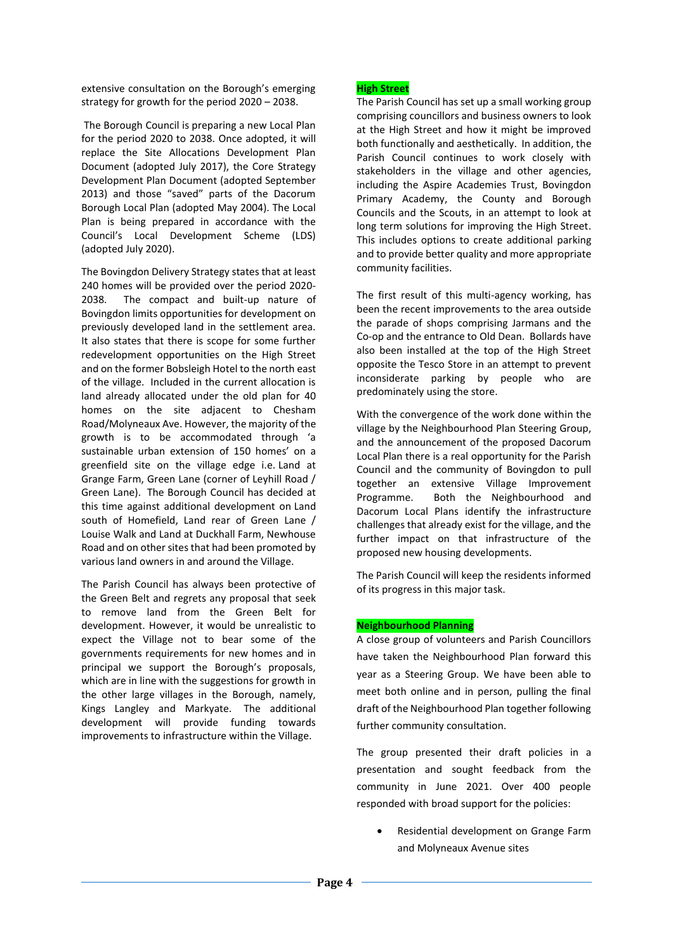extensive consultation on the Borough's emerging strategy for growth for the period 2020 – 2038.

The Borough Council is preparing a new Local Plan for the period 2020 to 2038. Once adopted, it will replace the Site Allocations Development Plan Document (adopted July 2017), the Core Strategy Development Plan Document (adopted September 2013) and those "saved" parts of the Dacorum Borough Local Plan (adopted May 2004). The Local Plan is being prepared in accordance with the Council's Local Development Scheme (LDS) (adopted July 2020).

The Bovingdon Delivery Strategy states that at least 240 homes will be provided over the period 2020- 2038. The compact and built-up nature of Bovingdon limits opportunities for development on previously developed land in the settlement area. It also states that there is scope for some further redevelopment opportunities on the High Street and on the former Bobsleigh Hotel to the north east of the village. Included in the current allocation is land already allocated under the old plan for 40 homes on the site adjacent to Chesham Road/Molyneaux Ave. However, the majority of the growth is to be accommodated through 'a sustainable urban extension of 150 homes' on a greenfield site on the village edge i.e. Land at Grange Farm, Green Lane (corner of Leyhill Road / Green Lane). The Borough Council has decided at this time against additional development on Land south of Homefield, Land rear of Green Lane / Louise Walk and Land at Duckhall Farm, Newhouse Road and on other sites that had been promoted by various land owners in and around the Village.

The Parish Council has always been protective of the Green Belt and regrets any proposal that seek to remove land from the Green Belt for development. However, it would be unrealistic to expect the Village not to bear some of the governments requirements for new homes and in principal we support the Borough's proposals, which are in line with the suggestions for growth in the other large villages in the Borough, namely, Kings Langley and Markyate. The additional development will provide funding towards improvements to infrastructure within the Village.

## **High Street**

The Parish Council has set up a small working group comprising councillors and business owners to look at the High Street and how it might be improved both functionally and aesthetically. In addition, the Parish Council continues to work closely with stakeholders in the village and other agencies, including the Aspire Academies Trust, Bovingdon Primary Academy, the County and Borough Councils and the Scouts, in an attempt to look at long term solutions for improving the High Street. This includes options to create additional parking and to provide better quality and more appropriate community facilities.

The first result of this multi-agency working, has been the recent improvements to the area outside the parade of shops comprising Jarmans and the Co-op and the entrance to Old Dean. Bollards have also been installed at the top of the High Street opposite the Tesco Store in an attempt to prevent inconsiderate parking by people who are predominately using the store.

With the convergence of the work done within the village by the Neighbourhood Plan Steering Group, and the announcement of the proposed Dacorum Local Plan there is a real opportunity for the Parish Council and the community of Bovingdon to pull together an extensive Village Improvement Programme. Both the Neighbourhood and Dacorum Local Plans identify the infrastructure challenges that already exist for the village, and the further impact on that infrastructure of the proposed new housing developments.

The Parish Council will keep the residents informed of its progress in this major task.

## **Neighbourhood Planning**

A close group of volunteers and Parish Councillors have taken the Neighbourhood Plan forward this year as a Steering Group. We have been able to meet both online and in person, pulling the final draft of the Neighbourhood Plan together following further community consultation.

The group presented their draft policies in a presentation and sought feedback from the community in June 2021. Over 400 people responded with broad support for the policies:

• Residential development on Grange Farm and Molyneaux Avenue sites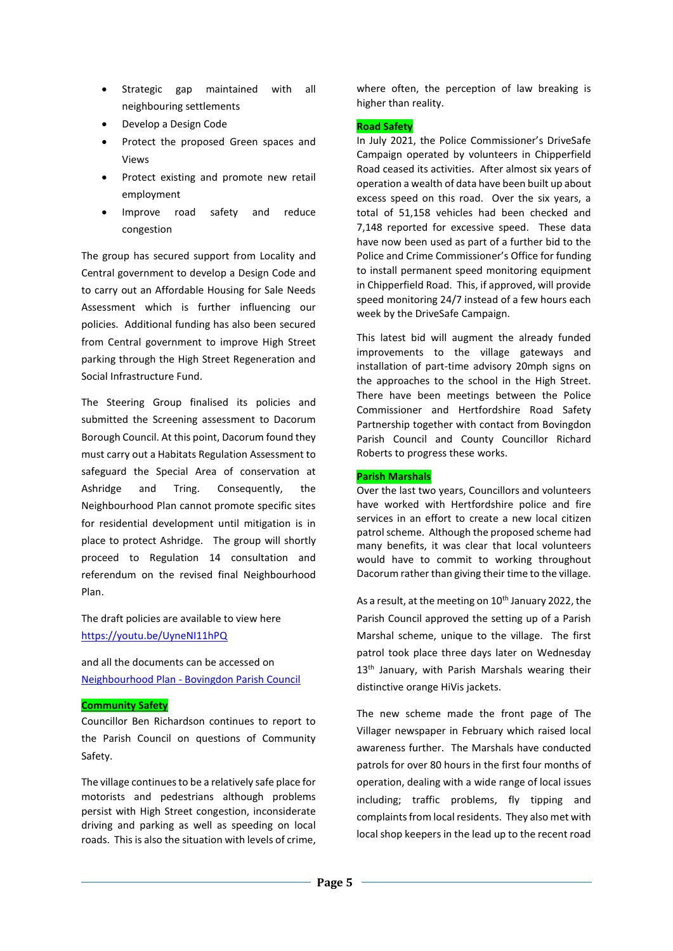- Strategic gap maintained with all neighbouring settlements
- Develop a Design Code
- Protect the proposed Green spaces and Views
- Protect existing and promote new retail employment
- Improve road safety and reduce congestion

The group has secured support from Locality and Central government to develop a Design Code and to carry out an Affordable Housing for Sale Needs Assessment which is further influencing our policies. Additional funding has also been secured from Central government to improve High Street parking through the High Street Regeneration and Social Infrastructure Fund.

The Steering Group finalised its policies and submitted the Screening assessment to Dacorum Borough Council. At this point, Dacorum found they must carry out a Habitats Regulation Assessment to safeguard the Special Area of conservation at Ashridge and Tring. Consequently, the Neighbourhood Plan cannot promote specific sites for residential development until mitigation is in place to protect Ashridge. The group will shortly proceed to Regulation 14 consultation and referendum on the revised final Neighbourhood Plan.

The draft policies are available to view here <https://youtu.be/UyneNI11hPQ>

and all the documents can be accessed on Neighbourhood Plan - [Bovingdon Parish Council](https://www.bovingdonparishcouncil.gov.uk/Neighbourhood_Plan_22479.aspx)

# **Community Safety**

Councillor Ben Richardson continues to report to the Parish Council on questions of Community Safety.

The village continues to be a relatively safe place for motorists and pedestrians although problems persist with High Street congestion, inconsiderate driving and parking as well as speeding on local roads. This is also the situation with levels of crime,

where often, the perception of law breaking is higher than reality.

# **Road Safety**

In July 2021, the Police Commissioner's DriveSafe Campaign operated by volunteers in Chipperfield Road ceased its activities. After almost six years of operation a wealth of data have been built up about excess speed on this road. Over the six years, a total of 51,158 vehicles had been checked and 7,148 reported for excessive speed. These data have now been used as part of a further bid to the Police and Crime Commissioner's Office for funding to install permanent speed monitoring equipment in Chipperfield Road. This, if approved, will provide speed monitoring 24/7 instead of a few hours each week by the DriveSafe Campaign.

This latest bid will augment the already funded improvements to the village gateways and installation of part-time advisory 20mph signs on the approaches to the school in the High Street. There have been meetings between the Police Commissioner and Hertfordshire Road Safety Partnership together with contact from Bovingdon Parish Council and County Councillor Richard Roberts to progress these works.

# **Parish Marshals**

Over the last two years, Councillors and volunteers have worked with Hertfordshire police and fire services in an effort to create a new local citizen patrol scheme. Although the proposed scheme had many benefits, it was clear that local volunteers would have to commit to working throughout Dacorum rather than giving their time to the village.

As a result, at the meeting on  $10^{th}$  January 2022, the Parish Council approved the setting up of a Parish Marshal scheme, unique to the village. The first patrol took place three days later on Wednesday 13<sup>th</sup> January, with Parish Marshals wearing their distinctive orange HiVis jackets.

The new scheme made the front page of The Villager newspaper in February which raised local awareness further. The Marshals have conducted patrols for over 80 hours in the first four months of operation, dealing with a wide range of local issues including; traffic problems, fly tipping and complaints from local residents. They also met with local shop keepers in the lead up to the recent road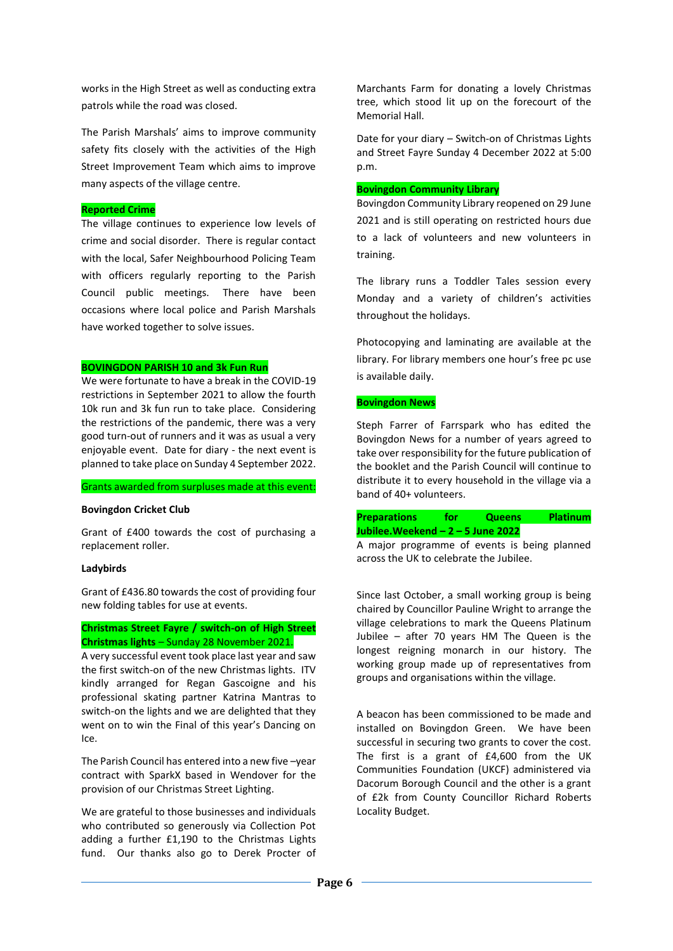works in the High Street as well as conducting extra patrols while the road was closed.

The Parish Marshals' aims to improve community safety fits closely with the activities of the High Street Improvement Team which aims to improve many aspects of the village centre.

## **Reported Crime**

The village continues to experience low levels of crime and social disorder. There is regular contact with the local, Safer Neighbourhood Policing Team with officers regularly reporting to the Parish Council public meetings. There have been occasions where local police and Parish Marshals have worked together to solve issues.

## **BOVINGDON PARISH 10 and 3k Fun Run**

We were fortunate to have a break in the COVID-19 restrictions in September 2021 to allow the fourth 10k run and 3k fun run to take place. Considering the restrictions of the pandemic, there was a very good turn-out of runners and it was as usual a very enjoyable event. Date for diary - the next event is planned to take place on Sunday 4 September 2022.

#### Grants awarded from surpluses made at this event:

#### **Bovingdon Cricket Club**

Grant of £400 towards the cost of purchasing a replacement roller.

#### **Ladybirds**

Grant of £436.80 towards the cost of providing four new folding tables for use at events.

# **Christmas Street Fayre / switch-on of High Street Christmas lights** – Sunday 28 November 2021.

A very successful event took place last year and saw the first switch-on of the new Christmas lights. ITV kindly arranged for Regan Gascoigne and his professional skating partner Katrina Mantras to switch-on the lights and we are delighted that they went on to win the Final of this year's Dancing on Ice.

The Parish Council has entered into a new five –year contract with SparkX based in Wendover for the provision of our Christmas Street Lighting.

We are grateful to those businesses and individuals who contributed so generously via Collection Pot adding a further £1,190 to the Christmas Lights fund. Our thanks also go to Derek Procter of

Marchants Farm for donating a lovely Christmas tree, which stood lit up on the forecourt of the Memorial Hall.

Date for your diary – Switch-on of Christmas Lights and Street Fayre Sunday 4 December 2022 at 5:00 p.m.

#### **Bovingdon Community Library**

Bovingdon Community Library reopened on 29 June 2021 and is still operating on restricted hours due to a lack of volunteers and new volunteers in training.

The library runs a Toddler Tales session every Monday and a variety of children's activities throughout the holidays.

Photocopying and laminating are available at the library. For library members one hour's free pc use is available daily.

#### **Bovingdon News**

Steph Farrer of Farrspark who has edited the Bovingdon News for a number of years agreed to take over responsibility for the future publication of the booklet and the Parish Council will continue to distribute it to every household in the village via a band of 40+ volunteers.

| <b>Preparations</b>               | for | Queens | <b>Platinum</b> |
|-----------------------------------|-----|--------|-----------------|
| Jubilee.Weekend - 2 - 5 June 2022 |     |        |                 |

A major programme of events is being planned across the UK to celebrate the Jubilee.

Since last October, a small working group is being chaired by Councillor Pauline Wright to arrange the village celebrations to mark the Queens Platinum Jubilee – after 70 years HM The Queen is the longest reigning monarch in our history. The working group made up of representatives from groups and organisations within the village.

A beacon has been commissioned to be made and installed on Bovingdon Green. We have been successful in securing two grants to cover the cost. The first is a grant of £4,600 from the UK Communities Foundation (UKCF) administered via Dacorum Borough Council and the other is a grant of £2k from County Councillor Richard Roberts Locality Budget.